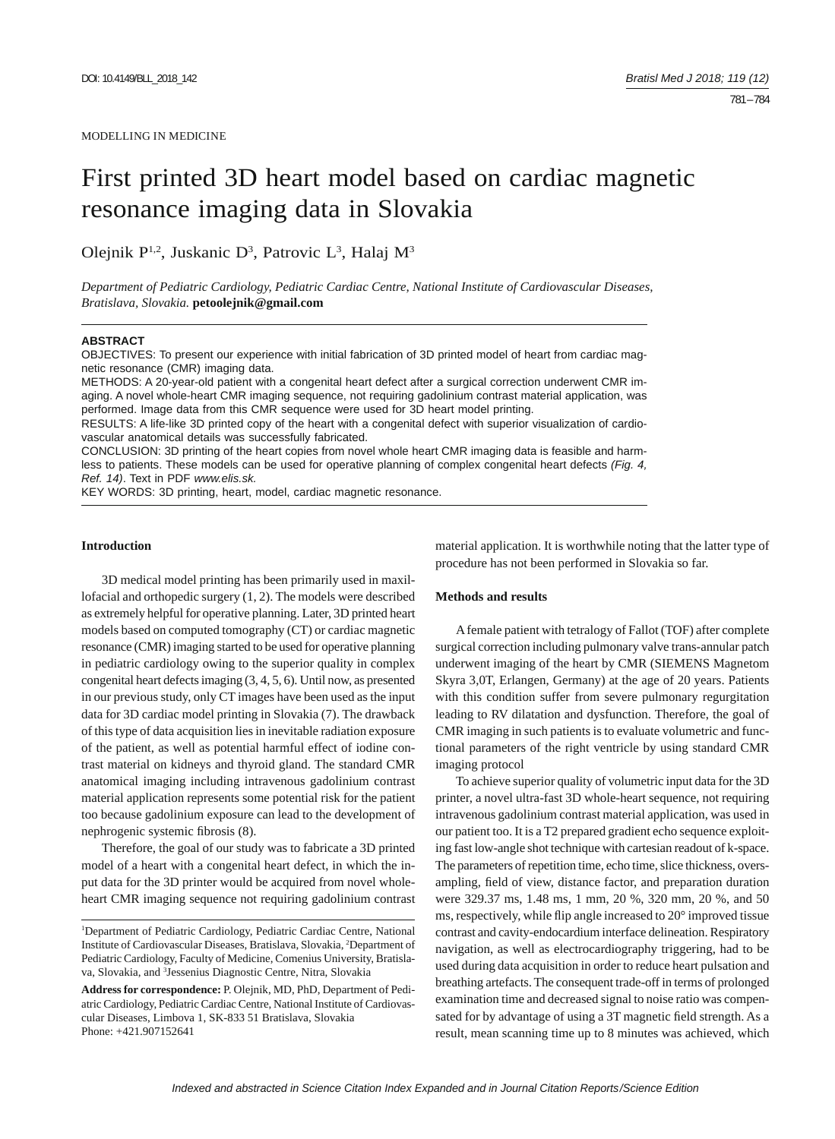# First printed 3D heart model based on cardiac magnetic resonance imaging data in Slovakia

Olejnik P<sup>1,2</sup>, Juskanic D<sup>3</sup>, Patrovic L<sup>3</sup>, Halaj M<sup>3</sup>

*Department of Pediatric Cardiology, Pediatric Cardiac Centre, National Institute of Cardiovascular Diseases, Bratislava, Slovakia.* **petoolejnik@gmail.com**

### **ABSTRACT**

OBJECTIVES: To present our experience with initial fabrication of 3D printed model of heart from cardiac magnetic resonance (CMR) imaging data.

METHODS: A 20-year-old patient with a congenital heart defect after a surgical correction underwent CMR imaging. A novel whole-heart CMR imaging sequence, not requiring gadolinium contrast material application, was performed. Image data from this CMR sequence were used for 3D heart model printing.

RESULTS: A life-like 3D printed copy of the heart with a congenital defect with superior visualization of cardiovascular anatomical details was successfully fabricated.

CONCLUSION: 3D printing of the heart copies from novel whole heart CMR imaging data is feasible and harmless to patients. These models can be used for operative planning of complex congenital heart defects *(Fig. 4, Ref. 14)*. Text in PDF *www.elis.sk.*

KEY WORDS: 3D printing, heart, model, cardiac magnetic resonance.

## **Introduction**

3D medical model printing has been primarily used in maxillofacial and orthopedic surgery (1, 2). The models were described as extremely helpful for operative planning. Later, 3D printed heart models based on computed tomography (CT) or cardiac magnetic resonance (CMR) imaging started to be used for operative planning in pediatric cardiology owing to the superior quality in complex congenital heart defects imaging (3, 4, 5, 6). Until now, as presented in our previous study, only CT images have been used as the input data for 3D cardiac model printing in Slovakia (7). The drawback of this type of data acquisition lies in inevitable radiation exposure of the patient, as well as potential harmful effect of iodine contrast material on kidneys and thyroid gland. The standard CMR anatomical imaging including intravenous gadolinium contrast material application represents some potential risk for the patient too because gadolinium exposure can lead to the development of nephrogenic systemic fibrosis (8).

Therefore, the goal of our study was to fabricate a 3D printed model of a heart with a congenital heart defect, in which the input data for the 3D printer would be acquired from novel wholeheart CMR imaging sequence not requiring gadolinium contrast

material application. It is worthwhile noting that the latter type of procedure has not been performed in Slovakia so far.

## **Methods and results**

A female patient with tetralogy of Fallot (TOF) after complete surgical correction including pulmonary valve trans-annular patch underwent imaging of the heart by CMR (SIEMENS Magnetom Skyra 3,0T, Erlangen, Germany) at the age of 20 years. Patients with this condition suffer from severe pulmonary regurgitation leading to RV dilatation and dysfunction. Therefore, the goal of CMR imaging in such patients is to evaluate volumetric and functional parameters of the right ventricle by using standard CMR imaging protocol

To achieve superior quality of volumetric input data for the 3D printer, a novel ultra-fast 3D whole-heart sequence, not requiring intravenous gadolinium contrast material application, was used in our patient too. It is a T2 prepared gradient echo sequence exploiting fast low-angle shot technique with cartesian readout of k-space. The parameters of repetition time, echo time, slice thickness, oversampling, field of view, distance factor, and preparation duration were 329.37 ms, 1.48 ms, 1 mm, 20 %, 320 mm, 20 %, and 50 ms, respectively, while flip angle increased to  $20^{\circ}$  improved tissue contrast and cavity-endocardium interface delineation. Respiratory navigation, as well as electrocardiography triggering, had to be used during data acquisition in order to reduce heart pulsation and breathing artefacts. The consequent trade-off in terms of prolonged examination time and decreased signal to noise ratio was compensated for by advantage of using a 3T magnetic field strength. As a result, mean scanning time up to 8 minutes was achieved, which

<sup>1</sup> Department of Pediatric Cardiology, Pediatric Cardiac Centre, National Institute of Cardiovascular Diseases, Bratislava, Slovakia, 2 Department of Pediatric Cardiology, Faculty of Medicine, Comenius University, Bratislava, Slovakia, and 3 Jessenius Diagnostic Centre, Nitra, Slovakia

**Address for correspondence:** P. Olejnik, MD, PhD, Department of Pediatric Cardiology, Pediatric Cardiac Centre, National Institute of Cardiovascular Diseases, Limbova 1, SK-833 51 Bratislava, Slovakia Phone: +421.907152641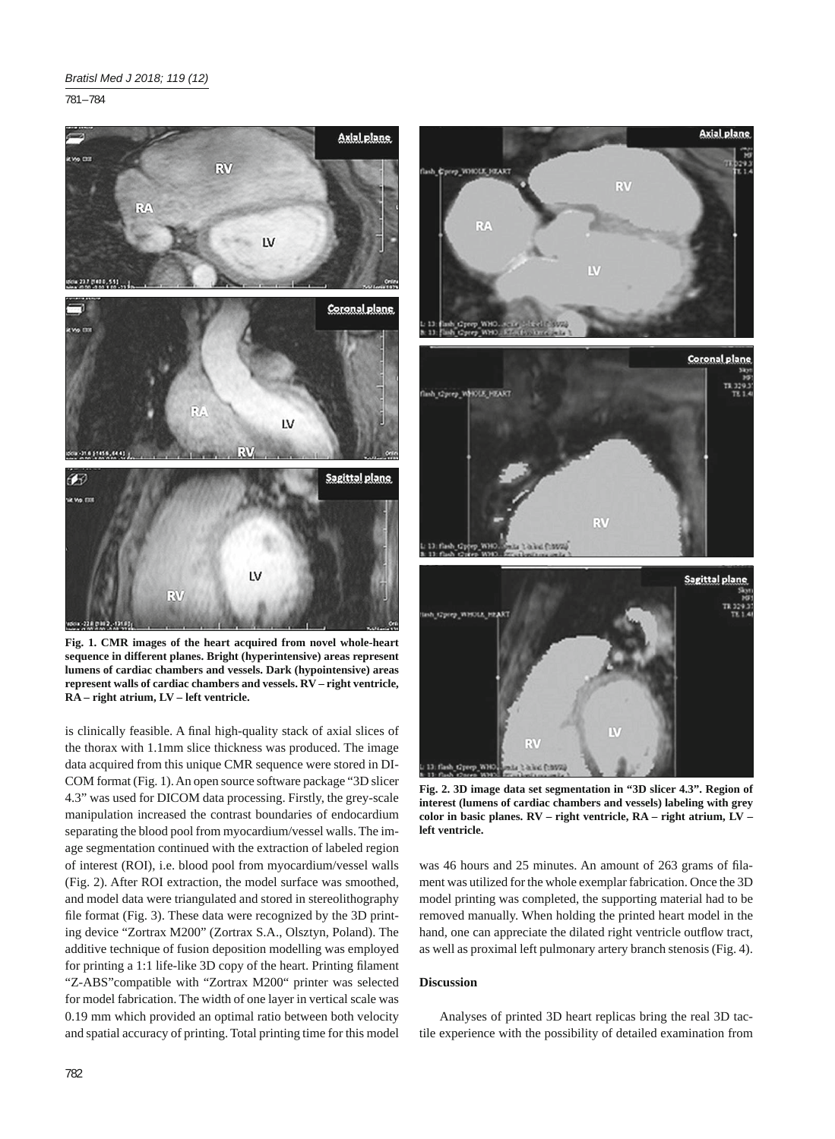781 – 784



**Fig. 1. CMR images of the heart acquired from novel whole-heart sequence in different planes. Bright (hyperintensive) areas represent lumens of cardiac chambers and vessels. Dark (hypointensive) areas represent walls of cardiac chambers and vessels. RV – right ventricle, RA – right atrium, LV – left ventricle.**

is clinically feasible. A final high-quality stack of axial slices of the thorax with 1.1mm slice thickness was produced. The image data acquired from this unique CMR sequence were stored in DI-COM format (Fig. 1). An open source software package "3D slicer 4.3" was used for DICOM data processing. Firstly, the grey-scale manipulation increased the contrast boundaries of endocardium separating the blood pool from myocardium/vessel walls. The image segmentation continued with the extraction of labeled region of interest (ROI), i.e. blood pool from myocardium/vessel walls (Fig. 2). After ROI extraction, the model surface was smoothed, and model data were triangulated and stored in stereolithography file format (Fig. 3). These data were recognized by the 3D printing device "Zortrax M200" (Zortrax S.A., Olsztyn, Poland). The additive technique of fusion deposition modelling was employed for printing a 1:1 life-like 3D copy of the heart. Printing filament "Z-ABS"compatible with "Zortrax M200" printer was selected for model fabrication. The width of one layer in vertical scale was 0.19 mm which provided an optimal ratio between both velocity and spatial accuracy of printing. Total printing time for this model



**Fig. 2. 3D image data set segmentation in "3D slicer 4.3". Region of interest (lumens of cardiac chambers and vessels) labeling with grey color in basic planes. RV – right ventricle, RA – right atrium, LV – left ventricle.**

was 46 hours and 25 minutes. An amount of 263 grams of filament was utilized for the whole exemplar fabrication. Once the 3D model printing was completed, the supporting material had to be removed manually. When holding the printed heart model in the hand, one can appreciate the dilated right ventricle outflow tract, as well as proximal left pulmonary artery branch stenosis (Fig. 4).

# **Discussion**

Analyses of printed 3D heart replicas bring the real 3D tactile experience with the possibility of detailed examination from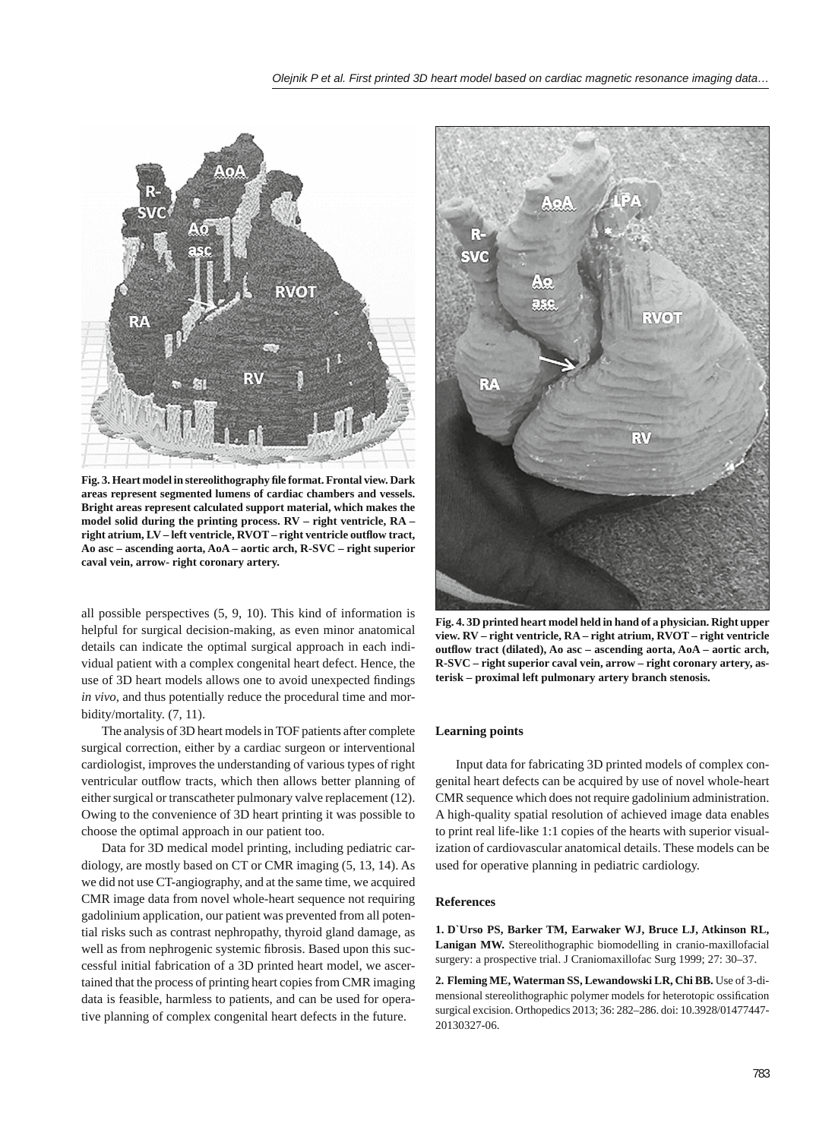

**Fig. 3. Heart model in stereolithography fi le format. Frontal view. Dark areas represent segmented lumens of cardiac chambers and vessels. Bright areas represent calculated support material, which makes the model solid during the printing process. RV – right ventricle, RA –**  right atrium, LV - left ventricle, RVOT - right ventricle outflow tract, **Ao asc – ascending aorta, AoA – aortic arch, R-SVC – right superior caval vein, arrow- right coronary artery.**

all possible perspectives (5, 9, 10). This kind of information is helpful for surgical decision-making, as even minor anatomical details can indicate the optimal surgical approach in each individual patient with a complex congenital heart defect. Hence, the use of 3D heart models allows one to avoid unexpected findings *in vivo*, and thus potentially reduce the procedural time and morbidity/mortality. (7, 11).

The analysis of 3D heart models in TOF patients after complete surgical correction, either by a cardiac surgeon or interventional cardiologist, improves the understanding of various types of right ventricular outflow tracts, which then allows better planning of either surgical or transcatheter pulmonary valve replacement (12). Owing to the convenience of 3D heart printing it was possible to choose the optimal approach in our patient too.

Data for 3D medical model printing, including pediatric cardiology, are mostly based on CT or CMR imaging (5, 13, 14). As we did not use CT-angiography, and at the same time, we acquired CMR image data from novel whole-heart sequence not requiring gadolinium application, our patient was prevented from all potential risks such as contrast nephropathy, thyroid gland damage, as well as from nephrogenic systemic fibrosis. Based upon this successful initial fabrication of a 3D printed heart model, we ascertained that the process of printing heart copies from CMR imaging data is feasible, harmless to patients, and can be used for operative planning of complex congenital heart defects in the future.



**Fig. 4. 3D printed heart model held in hand of a physician. Right upper view. RV – right ventricle, RA – right atrium, RVOT – right ventricle outfl ow tract (dilated), Ao asc – ascending aorta, AoA – aortic arch, R-SVC – right superior caval vein, arrow – right coronary artery, asterisk – proximal left pulmonary artery branch stenosis.**

## **Learning points**

Input data for fabricating 3D printed models of complex congenital heart defects can be acquired by use of novel whole-heart CMR sequence which does not require gadolinium administration. A high-quality spatial resolution of achieved image data enables to print real life-like 1:1 copies of the hearts with superior visualization of cardiovascular anatomical details. These models can be used for operative planning in pediatric cardiology.

### **References**

**1. D`Urso PS, Barker TM, Earwaker WJ, Bruce LJ, Atkinson RL, Lanigan MW.** Stereolithographic biomodelling in cranio-maxillofacial surgery: a prospective trial. J Craniomaxillofac Surg 1999; 27: 30–37.

**2. Fleming ME, Waterman SS, Lewandowski LR, Chi BB.** Use of 3-dimensional stereolithographic polymer models for heterotopic ossification surgical excision. Orthopedics 2013; 36: 282–286. doi: 10.3928/01477447- 20130327-06.